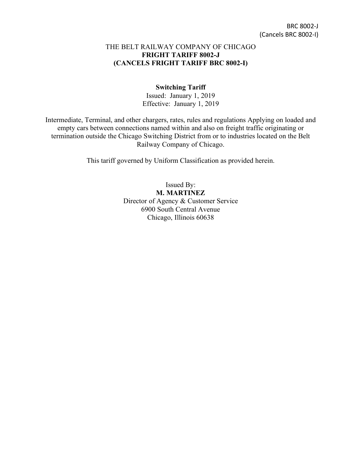#### THE BELT RAILWAY COMPANY OF CHICAGO **FRIGHT TARIFF 8002-J (CANCELS FRIGHT TARIFF BRC 8002-I)**

#### **Switching Tariff**

Issued: January 1, 2019 Effective: January 1, 2019

Intermediate, Terminal, and other chargers, rates, rules and regulations Applying on loaded and empty cars between connections named within and also on freight traffic originating or termination outside the Chicago Switching District from or to industries located on the Belt Railway Company of Chicago.

This tariff governed by Uniform Classification as provided herein.

Issued By: **M. MARTINEZ** Director of Agency & Customer Service 6900 South Central Avenue Chicago, Illinois 60638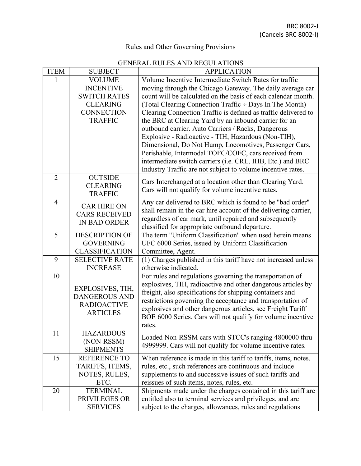# Rules and Other Governing Provisions

## GENERAL RULES AND REGULATIONS

| <b>ITEM</b>    | <b>SUBJECT</b>        | <b>APPLICATION</b>                                                                                                         |  |  |  |
|----------------|-----------------------|----------------------------------------------------------------------------------------------------------------------------|--|--|--|
| 1              | <b>VOLUME</b>         | Volume Incentive Intermediate Switch Rates for traffic                                                                     |  |  |  |
|                | <b>INCENTIVE</b>      | moving through the Chicago Gateway. The daily average car                                                                  |  |  |  |
|                | <b>SWITCH RATES</b>   | count will be calculated on the basis of each calendar month.                                                              |  |  |  |
|                | <b>CLEARING</b>       | (Total Clearing Connection Traffic ÷ Days In The Month)                                                                    |  |  |  |
|                | <b>CONNECTION</b>     | Clearing Connection Traffic is defined as traffic delivered to                                                             |  |  |  |
|                | <b>TRAFFIC</b>        | the BRC at Clearing Yard by an inbound carrier for an                                                                      |  |  |  |
|                |                       | outbound carrier. Auto Carriers / Racks, Dangerous                                                                         |  |  |  |
|                |                       | Explosive - Radioactive - TIH, Hazardous (Non-TIH),                                                                        |  |  |  |
|                |                       | Dimensional, Do Not Hump, Locomotives, Passenger Cars,                                                                     |  |  |  |
|                |                       | Perishable, Intermodal TOFC/COFC, cars received from                                                                       |  |  |  |
|                |                       | intermediate switch carriers (i.e. CRL, IHB, Etc.) and BRC                                                                 |  |  |  |
| $\overline{2}$ | <b>OUTSIDE</b>        | Industry Traffic are not subject to volume incentive rates.                                                                |  |  |  |
|                | <b>CLEARING</b>       | Cars Interchanged at a location other than Clearing Yard.                                                                  |  |  |  |
|                | <b>TRAFFIC</b>        | Cars will not qualify for volume incentive rates.                                                                          |  |  |  |
| $\overline{4}$ |                       | Any car delivered to BRC which is found to be "bad order"                                                                  |  |  |  |
|                | <b>CAR HIRE ON</b>    | shall remain in the car hire account of the delivering carrier,                                                            |  |  |  |
|                | <b>CARS RECEIVED</b>  | regardless of car mark, until repaired and subsequently                                                                    |  |  |  |
|                | <b>IN BAD ORDER</b>   | classified for appropriate outbound departure.                                                                             |  |  |  |
| 5              | <b>DESCRIPTION OF</b> | The term "Uniform Classification" when used herein means                                                                   |  |  |  |
|                | <b>GOVERNING</b>      | UFC 6000 Series, issued by Uniform Classification                                                                          |  |  |  |
|                | <b>CLASSIFICATION</b> | Committee, Agent.                                                                                                          |  |  |  |
| 9              | <b>SELECTIVE RATE</b> | (1) Charges published in this tariff have not increased unless                                                             |  |  |  |
|                | <b>INCREASE</b>       | otherwise indicated.                                                                                                       |  |  |  |
| 10             |                       | For rules and regulations governing the transportation of                                                                  |  |  |  |
|                | EXPLOSIVES, TIH,      | explosives, TIH, radioactive and other dangerous articles by                                                               |  |  |  |
|                | <b>DANGEROUS AND</b>  | freight, also specifications for shipping containers and                                                                   |  |  |  |
|                | <b>RADIOACTIVE</b>    | restrictions governing the acceptance and transportation of<br>explosives and other dangerous articles, see Freight Tariff |  |  |  |
|                | <b>ARTICLES</b>       | BOE 6000 Series. Cars will not qualify for volume incentive                                                                |  |  |  |
|                |                       | rates.                                                                                                                     |  |  |  |
| 11             | <b>HAZARDOUS</b>      |                                                                                                                            |  |  |  |
|                | (NON-RSSM)            | Loaded Non-RSSM cars with STCC's ranging 4800000 thru                                                                      |  |  |  |
|                | <b>SHIPMENTS</b>      | 4999999. Cars will not qualify for volume incentive rates.                                                                 |  |  |  |
| 15             | <b>REFERENCE TO</b>   | When reference is made in this tariff to tariffs, items, notes,                                                            |  |  |  |
|                | TARIFFS, ITEMS,       | rules, etc., such references are continuous and include                                                                    |  |  |  |
|                | NOTES, RULES,         | supplements to and successive issues of such tariffs and                                                                   |  |  |  |
|                | ETC.                  | reissues of such items, notes, rules, etc.                                                                                 |  |  |  |
| 20             | <b>TERMINAL</b>       | Shipments made under the charges contained in this tariff are                                                              |  |  |  |
|                | PRIVILEGES OR         | entitled also to terminal services and privileges, and are                                                                 |  |  |  |
|                | <b>SERVICES</b>       | subject to the charges, allowances, rules and regulations                                                                  |  |  |  |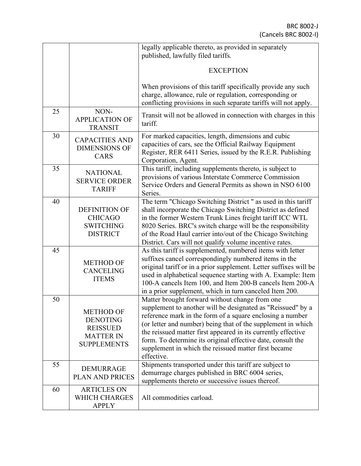|    |                                                                                                  | legally applicable thereto, as provided in separately<br>published, lawfully filed tariffs.                                                                                                                                                                                                                                                                                                                                                      |  |  |
|----|--------------------------------------------------------------------------------------------------|--------------------------------------------------------------------------------------------------------------------------------------------------------------------------------------------------------------------------------------------------------------------------------------------------------------------------------------------------------------------------------------------------------------------------------------------------|--|--|
|    |                                                                                                  |                                                                                                                                                                                                                                                                                                                                                                                                                                                  |  |  |
|    |                                                                                                  | <b>EXCEPTION</b>                                                                                                                                                                                                                                                                                                                                                                                                                                 |  |  |
|    |                                                                                                  | When provisions of this tariff specifically provide any such<br>charge, allowance, rule or regulation, corresponding or<br>conflicting provisions in such separate tariffs will not apply.                                                                                                                                                                                                                                                       |  |  |
| 25 | NON-<br><b>APPLICATION OF</b><br><b>TRANSIT</b>                                                  | Transit will not be allowed in connection with charges in this<br>tariff.                                                                                                                                                                                                                                                                                                                                                                        |  |  |
| 30 | <b>CAPACITIES AND</b><br><b>DIMENSIONS OF</b><br>CARS                                            | For marked capacities, length, dimensions and cubic<br>capacities of cars, see the Official Railway Equipment<br>Register, RER 6411 Series, issued by the R.E.R. Publishing<br>Corporation, Agent.                                                                                                                                                                                                                                               |  |  |
| 35 | <b>NATIONAL</b><br><b>SERVICE ORDER</b><br><b>TARIFF</b>                                         | This tariff, including supplements thereto, is subject to<br>provisions of various Interstate Commerce Commission<br>Service Orders and General Permits as shown in NSO 6100<br>Series.                                                                                                                                                                                                                                                          |  |  |
| 40 | <b>DEFINITION OF</b><br><b>CHICAGO</b><br><b>SWITCHING</b><br><b>DISTRICT</b>                    | The term "Chicago Switching District" as used in this tariff<br>shall incorporate the Chicago Switching District as defined<br>in the former Western Trunk Lines freight tariff ICC WTL<br>8020 Series. BRC's switch charge will be the responsibility<br>of the Road Haul carrier into/out of the Chicago Switching<br>District. Cars will not qualify volume incentive rates.                                                                  |  |  |
| 45 | <b>METHOD OF</b><br><b>CANCELING</b><br><b>ITEMS</b>                                             | As this tariff is supplemented, numbered items with letter<br>suffixes cancel correspondingly numbered items in the<br>original tariff or in a prior supplement. Letter suffixes will be<br>used in alphabetical sequence starting with A. Example: Item<br>100-A cancels Item 100, and Item 200-B cancels Item 200-A<br>in a prior supplement, which in turn canceled Item 200.                                                                 |  |  |
| 50 | <b>METHOD OF</b><br><b>DENOTING</b><br><b>REISSUED</b><br><b>MATTER IN</b><br><b>SUPPLEMENTS</b> | Matter brought forward without change from one<br>supplement to another will be designated as "Reissued" by a<br>reference mark in the form of a square enclosing a number<br>(or letter and number) being that of the supplement in which<br>the reissued matter first appeared in its currently effective<br>form. To determine its original effective date, consult the<br>supplement in which the reissued matter first became<br>effective. |  |  |
| 55 | <b>DEMURRAGE</b><br><b>PLAN AND PRICES</b>                                                       | Shipments transported under this tariff are subject to<br>demurrage charges published in BRC 6004 series,<br>supplements thereto or successive issues thereof.                                                                                                                                                                                                                                                                                   |  |  |
| 60 | <b>ARTICLES ON</b><br><b>WHICH CHARGES</b><br><b>APPLY</b>                                       | All commodities carload.                                                                                                                                                                                                                                                                                                                                                                                                                         |  |  |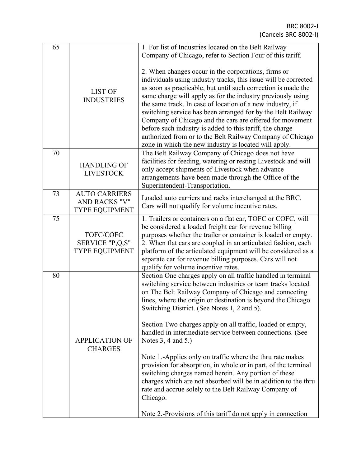| 65 |                       | 1. For list of Industries located on the Belt Railway           |
|----|-----------------------|-----------------------------------------------------------------|
|    |                       | Company of Chicago, refer to Section Four of this tariff.       |
|    |                       |                                                                 |
|    |                       | 2. When changes occur in the corporations, firms or             |
|    |                       | individuals using industry tracks, this issue will be corrected |
|    |                       | as soon as practicable, but until such correction is made the   |
|    | <b>LIST OF</b>        | same charge will apply as for the industry previously using     |
|    | <b>INDUSTRIES</b>     | the same track. In case of location of a new industry, if       |
|    |                       | switching service has been arranged for by the Belt Railway     |
|    |                       | Company of Chicago and the cars are offered for movement        |
|    |                       | before such industry is added to this tariff, the charge        |
|    |                       | authorized from or to the Belt Railway Company of Chicago       |
|    |                       | zone in which the new industry is located will apply.           |
| 70 |                       | The Belt Railway Company of Chicago does not have               |
|    |                       | facilities for feeding, watering or resting Livestock and will  |
|    | <b>HANDLING OF</b>    | only accept shipments of Livestock when advance                 |
|    | <b>LIVESTOCK</b>      | arrangements have been made through the Office of the           |
|    |                       | Superintendent-Transportation.                                  |
| 73 | <b>AUTO CARRIERS</b>  |                                                                 |
|    | <b>AND RACKS "V"</b>  | Loaded auto carriers and racks interchanged at the BRC.         |
|    | <b>TYPE EQUIPMENT</b> | Cars will not qualify for volume incentive rates.               |
| 75 |                       | 1. Trailers or containers on a flat car, TOFC or COFC, will     |
|    |                       | be considered a loaded freight car for revenue billing          |
|    | TOFC/COFC             | purposes whether the trailer or container is loaded or empty.   |
|    | SERVICE "P,Q,S"       | 2. When flat cars are coupled in an articulated fashion, each   |
|    | <b>TYPE EQUIPMENT</b> | platform of the articulated equipment will be considered as a   |
|    |                       | separate car for revenue billing purposes. Cars will not        |
|    |                       | qualify for volume incentive rates.                             |
| 80 |                       | Section One charges apply on all traffic handled in terminal    |
|    |                       | switching service between industries or team tracks located     |
|    |                       | on The Belt Railway Company of Chicago and connecting           |
|    |                       | lines, where the origin or destination is beyond the Chicago    |
|    |                       | Switching District. (See Notes 1, 2 and 5).                     |
|    |                       |                                                                 |
|    |                       | Section Two charges apply on all traffic, loaded or empty,      |
|    |                       | handled in intermediate service between connections. (See       |
|    | <b>APPLICATION OF</b> | Notes 3, 4 and 5.)                                              |
|    | <b>CHARGES</b>        |                                                                 |
|    |                       | Note 1.-Applies only on traffic where the thru rate makes       |
|    |                       | provision for absorption, in whole or in part, of the terminal  |
|    |                       | switching charges named herein. Any portion of these            |
|    |                       | charges which are not absorbed will be in addition to the thru  |
|    |                       | rate and accrue solely to the Belt Railway Company of           |
|    |                       | Chicago.                                                        |
|    |                       |                                                                 |
|    |                       | Note 2.-Provisions of this tariff do not apply in connection    |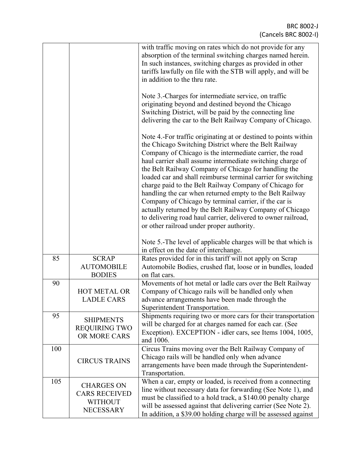|     |                                                                                 | with traffic moving on rates which do not provide for any<br>absorption of the terminal switching charges named herein.<br>In such instances, switching charges as provided in other<br>tariffs lawfully on file with the STB will apply, and will be<br>in addition to the thru rate.                                                                                                                                                                                                                                                                                                                                                                                                                                               |
|-----|---------------------------------------------------------------------------------|--------------------------------------------------------------------------------------------------------------------------------------------------------------------------------------------------------------------------------------------------------------------------------------------------------------------------------------------------------------------------------------------------------------------------------------------------------------------------------------------------------------------------------------------------------------------------------------------------------------------------------------------------------------------------------------------------------------------------------------|
|     |                                                                                 | Note 3.-Charges for intermediate service, on traffic<br>originating beyond and destined beyond the Chicago<br>Switching District, will be paid by the connecting line<br>delivering the car to the Belt Railway Company of Chicago.                                                                                                                                                                                                                                                                                                                                                                                                                                                                                                  |
|     |                                                                                 | Note 4.-For traffic originating at or destined to points within<br>the Chicago Switching District where the Belt Railway<br>Company of Chicago is the intermediate carrier, the road<br>haul carrier shall assume intermediate switching charge of<br>the Belt Railway Company of Chicago for handling the<br>loaded car and shall reimburse terminal carrier for switching<br>charge paid to the Belt Railway Company of Chicago for<br>handling the car when returned empty to the Belt Railway<br>Company of Chicago by terminal carrier, if the car is<br>actually returned by the Belt Railway Company of Chicago<br>to delivering road haul carrier, delivered to owner railroad,<br>or other railroad under proper authority. |
|     |                                                                                 | Note 5.-The level of applicable charges will be that which is<br>in effect on the date of interchange.                                                                                                                                                                                                                                                                                                                                                                                                                                                                                                                                                                                                                               |
| 85  | <b>SCRAP</b><br><b>AUTOMOBILE</b><br><b>BODIES</b>                              | Rates provided for in this tariff will not apply on Scrap<br>Automobile Bodies, crushed flat, loose or in bundles, loaded<br>on flat cars.                                                                                                                                                                                                                                                                                                                                                                                                                                                                                                                                                                                           |
| 90  | <b>HOT METAL OR</b><br><b>LADLE CARS</b>                                        | Movements of hot metal or ladle cars over the Belt Railway<br>Company of Chicago rails will be handled only when<br>advance arrangements have been made through the<br>Superintendent Transportation.                                                                                                                                                                                                                                                                                                                                                                                                                                                                                                                                |
| 95  | <b>SHIPMENTS</b><br><b>REQUIRING TWO</b><br>OR MORE CARS                        | Shipments requiring two or more cars for their transportation<br>will be charged for at charges named for each car. (See<br>Exception). EXCEPTION - idler cars, see Items 1004, 1005,<br>and 1006.                                                                                                                                                                                                                                                                                                                                                                                                                                                                                                                                   |
| 100 | <b>CIRCUS TRAINS</b>                                                            | Circus Trains moving over the Belt Railway Company of<br>Chicago rails will be handled only when advance<br>arrangements have been made through the Superintendent-<br>Transportation.                                                                                                                                                                                                                                                                                                                                                                                                                                                                                                                                               |
| 105 | <b>CHARGES ON</b><br><b>CARS RECEIVED</b><br><b>WITHOUT</b><br><b>NECESSARY</b> | When a car, empty or loaded, is received from a connecting<br>line without necessary data for forwarding (See Note 1), and<br>must be classified to a hold track, a \$140.00 penalty charge<br>will be assessed against that delivering carrier (See Note 2).<br>In addition, a \$39.00 holding charge will be assessed against                                                                                                                                                                                                                                                                                                                                                                                                      |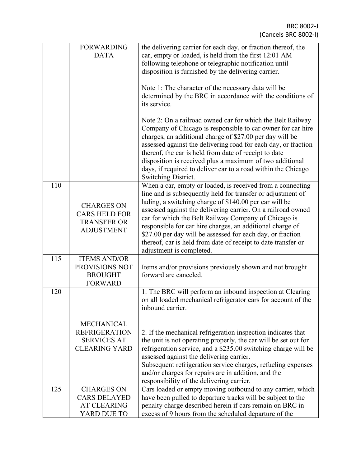BRC 8002-J (Cancels BRC 8002-I)

|     | <b>FORWARDING</b><br><b>DATA</b>                                                        | the delivering carrier for each day, or fraction thereof, the<br>car, empty or loaded, is held from the first 12:01 AM<br>following telephone or telegraphic notification until<br>disposition is furnished by the delivering carrier.                                                                                                                                                                                                                                                                                              |
|-----|-----------------------------------------------------------------------------------------|-------------------------------------------------------------------------------------------------------------------------------------------------------------------------------------------------------------------------------------------------------------------------------------------------------------------------------------------------------------------------------------------------------------------------------------------------------------------------------------------------------------------------------------|
|     |                                                                                         | Note 1: The character of the necessary data will be<br>determined by the BRC in accordance with the conditions of<br>its service.                                                                                                                                                                                                                                                                                                                                                                                                   |
|     |                                                                                         | Note 2: On a railroad owned car for which the Belt Railway<br>Company of Chicago is responsible to car owner for car hire<br>charges, an additional charge of \$27.00 per day will be<br>assessed against the delivering road for each day, or fraction<br>thereof, the car is held from date of receipt to date<br>disposition is received plus a maximum of two additional<br>days, if required to deliver car to a road within the Chicago<br>Switching District.                                                                |
| 110 | <b>CHARGES ON</b><br><b>CARS HELD FOR</b><br><b>TRANSFER OR</b><br><b>ADJUSTMENT</b>    | When a car, empty or loaded, is received from a connecting<br>line and is subsequently held for transfer or adjustment of<br>lading, a switching charge of \$140.00 per car will be<br>assessed against the delivering carrier. On a railroad owned<br>car for which the Belt Railway Company of Chicago is<br>responsible for car hire charges, an additional charge of<br>\$27.00 per day will be assessed for each day, or fraction<br>thereof, car is held from date of receipt to date transfer or<br>adjustment is completed. |
| 115 | <b>ITEMS AND/OR</b><br>PROVISIONS NOT<br><b>BROUGHT</b><br><b>FORWARD</b>               | Items and/or provisions previously shown and not brought<br>forward are canceled.                                                                                                                                                                                                                                                                                                                                                                                                                                                   |
| 120 |                                                                                         | 1. The BRC will perform an inbound inspection at Clearing<br>on all loaded mechanical refrigerator cars for account of the<br>inbound carrier.                                                                                                                                                                                                                                                                                                                                                                                      |
|     | <b>MECHANICAL</b><br><b>REFRIGERATION</b><br><b>SERVICES AT</b><br><b>CLEARING YARD</b> | 2. If the mechanical refrigeration inspection indicates that<br>the unit is not operating properly, the car will be set out for<br>refrigeration service, and a \$235.00 switching charge will be<br>assessed against the delivering carrier.<br>Subsequent refrigeration service charges, refueling expenses<br>and/or charges for repairs are in addition, and the<br>responsibility of the delivering carrier.                                                                                                                   |
| 125 | <b>CHARGES ON</b><br><b>CARS DELAYED</b><br><b>AT CLEARING</b><br>YARD DUE TO           | Cars loaded or empty moving outbound to any carrier, which<br>have been pulled to departure tracks will be subject to the<br>penalty charge described herein if cars remain on BRC in<br>excess of 9 hours from the scheduled departure of the                                                                                                                                                                                                                                                                                      |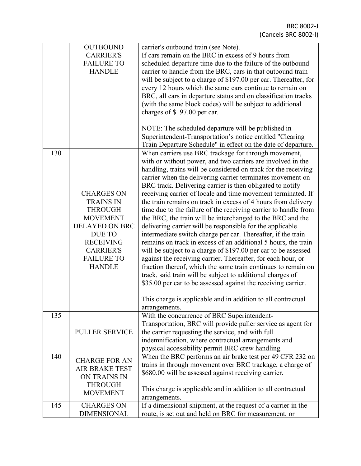| 130 | <b>OUTBOUND</b><br><b>CARRIER'S</b><br><b>FAILURE TO</b><br><b>HANDLE</b><br><b>CHARGES ON</b><br><b>TRAINS IN</b><br><b>THROUGH</b><br><b>MOVEMENT</b><br><b>DELAYED ON BRC</b><br><b>DUE TO</b><br><b>RECEIVING</b><br><b>CARRIER'S</b><br><b>FAILURE TO</b><br><b>HANDLE</b> | If cars remain on the BRC in excess of 9 hours from<br>scheduled departure time due to the failure of the outbound<br>carrier to handle from the BRC, cars in that outbound train<br>will be subject to a charge of \$197.00 per car. Thereafter, for<br>every 12 hours which the same cars continue to remain on<br>BRC, all cars in departure status and on classification tracks<br>(with the same block codes) will be subject to additional<br>charges of \$197.00 per car.<br>NOTE: The scheduled departure will be published in<br>Superintendent-Transportation's notice entitled "Clearing<br>Train Departure Schedule" in effect on the date of departure.<br>When carriers use BRC trackage for through movement,<br>with or without power, and two carriers are involved in the<br>handling, trains will be considered on track for the receiving<br>carrier when the delivering carrier terminates movement on<br>BRC track. Delivering carrier is then obligated to notify<br>receiving carrier of locale and time movement terminated. If<br>the train remains on track in excess of 4 hours from delivery<br>time due to the failure of the receiving carrier to handle from<br>the BRC, the train will be interchanged to the BRC and the<br>delivering carrier will be responsible for the applicable<br>intermediate switch charge per car. Thereafter, if the train<br>remains on track in excess of an additional 5 hours, the train<br>will be subject to a charge of \$197.00 per car to be assessed<br>against the receiving carrier. Thereafter, for each hour, or<br>fraction thereof, which the same train continues to remain on<br>track, said train will be subject to additional charges of<br>\$35.00 per car to be assessed against the receiving carrier.<br>This charge is applicable and in addition to all contractual<br>arrangements. |  |
|-----|---------------------------------------------------------------------------------------------------------------------------------------------------------------------------------------------------------------------------------------------------------------------------------|------------------------------------------------------------------------------------------------------------------------------------------------------------------------------------------------------------------------------------------------------------------------------------------------------------------------------------------------------------------------------------------------------------------------------------------------------------------------------------------------------------------------------------------------------------------------------------------------------------------------------------------------------------------------------------------------------------------------------------------------------------------------------------------------------------------------------------------------------------------------------------------------------------------------------------------------------------------------------------------------------------------------------------------------------------------------------------------------------------------------------------------------------------------------------------------------------------------------------------------------------------------------------------------------------------------------------------------------------------------------------------------------------------------------------------------------------------------------------------------------------------------------------------------------------------------------------------------------------------------------------------------------------------------------------------------------------------------------------------------------------------------------------------------------------------------------------------------------------------------------------|--|
| 135 | <b>PULLER SERVICE</b>                                                                                                                                                                                                                                                           | With the concurrence of BRC Superintendent-<br>Transportation, BRC will provide puller service as agent for<br>the carrier requesting the service, and with full<br>indemnification, where contractual arrangements and                                                                                                                                                                                                                                                                                                                                                                                                                                                                                                                                                                                                                                                                                                                                                                                                                                                                                                                                                                                                                                                                                                                                                                                                                                                                                                                                                                                                                                                                                                                                                                                                                                                      |  |
| 140 | <b>CHARGE FOR AN</b><br><b>AIR BRAKE TEST</b><br><b>ON TRAINS IN</b><br><b>THROUGH</b><br><b>MOVEMENT</b>                                                                                                                                                                       | physical accessibility permit BRC crew handling.<br>When the BRC performs an air brake test per 49 CFR 232 on<br>trains in through movement over BRC trackage, a charge of<br>\$680.00 will be assessed against receiving carrier.<br>This charge is applicable and in addition to all contractual<br>arrangements.                                                                                                                                                                                                                                                                                                                                                                                                                                                                                                                                                                                                                                                                                                                                                                                                                                                                                                                                                                                                                                                                                                                                                                                                                                                                                                                                                                                                                                                                                                                                                          |  |
| 145 | <b>CHARGES ON</b><br><b>DIMENSIONAL</b>                                                                                                                                                                                                                                         | If a dimensional shipment, at the request of a carrier in the<br>route, is set out and held on BRC for measurement, or                                                                                                                                                                                                                                                                                                                                                                                                                                                                                                                                                                                                                                                                                                                                                                                                                                                                                                                                                                                                                                                                                                                                                                                                                                                                                                                                                                                                                                                                                                                                                                                                                                                                                                                                                       |  |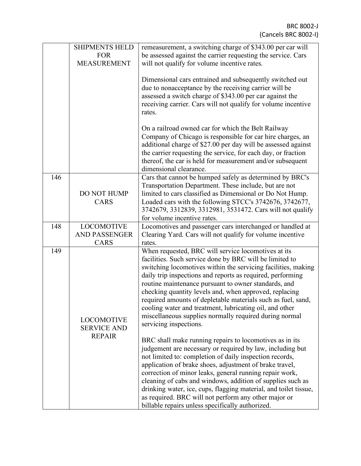|     | <b>SHIPMENTS HELD</b><br><b>FOR</b><br><b>MEASUREMENT</b> | remeasurement, a switching charge of \$343.00 per car will<br>be assessed against the carrier requesting the service. Cars<br>will not qualify for volume incentive rates.                                                                                                                                                                                                                                                                                                                                                                                                                                                                                                                                                                                                                                                                                                                                                                                                                                                |
|-----|-----------------------------------------------------------|---------------------------------------------------------------------------------------------------------------------------------------------------------------------------------------------------------------------------------------------------------------------------------------------------------------------------------------------------------------------------------------------------------------------------------------------------------------------------------------------------------------------------------------------------------------------------------------------------------------------------------------------------------------------------------------------------------------------------------------------------------------------------------------------------------------------------------------------------------------------------------------------------------------------------------------------------------------------------------------------------------------------------|
|     |                                                           | Dimensional cars entrained and subsequently switched out<br>due to nonacceptance by the receiving carrier will be<br>assessed a switch charge of \$343.00 per car against the<br>receiving carrier. Cars will not qualify for volume incentive<br>rates.                                                                                                                                                                                                                                                                                                                                                                                                                                                                                                                                                                                                                                                                                                                                                                  |
|     |                                                           | On a railroad owned car for which the Belt Railway<br>Company of Chicago is responsible for car hire charges, an<br>additional charge of \$27.00 per day will be assessed against<br>the carrier requesting the service, for each day, or fraction<br>thereof, the car is held for measurement and/or subsequent<br>dimensional clearance.                                                                                                                                                                                                                                                                                                                                                                                                                                                                                                                                                                                                                                                                                |
| 146 | <b>DO NOT HUMP</b><br><b>CARS</b>                         | Cars that cannot be humped safely as determined by BRC's<br>Transportation Department. These include, but are not<br>limited to cars classified as Dimensional or Do Not Hump.<br>Loaded cars with the following STCC's 3742676, 3742677,<br>3742679, 3312839, 3312981, 3531472. Cars will not qualify<br>for volume incentive rates.                                                                                                                                                                                                                                                                                                                                                                                                                                                                                                                                                                                                                                                                                     |
| 148 | <b>LOCOMOTIVE</b>                                         | Locomotives and passenger cars interchanged or handled at                                                                                                                                                                                                                                                                                                                                                                                                                                                                                                                                                                                                                                                                                                                                                                                                                                                                                                                                                                 |
|     | AND PASSENGER<br><b>CARS</b>                              | Clearing Yard. Cars will not qualify for volume incentive<br>rates.                                                                                                                                                                                                                                                                                                                                                                                                                                                                                                                                                                                                                                                                                                                                                                                                                                                                                                                                                       |
| 149 | <b>LOCOMOTIVE</b><br><b>SERVICE AND</b><br><b>REPAIR</b>  | When requested, BRC will service locomotives at its<br>facilities. Such service done by BRC will be limited to<br>switching locomotives within the servicing facilities, making<br>daily trip inspections and reports as required, performing<br>routine maintenance pursuant to owner standards, and<br>checking quantity levels and, when approved, replacing<br>required amounts of depletable materials such as fuel, sand,<br>cooling water and treatment, lubricating oil, and other<br>miscellaneous supplies normally required during normal<br>servicing inspections.<br>BRC shall make running repairs to locomotives as in its<br>judgement are necessary or required by law, including but<br>not limited to: completion of daily inspection records,<br>application of brake shoes, adjustment of brake travel,<br>correction of minor leaks, general running repair work,<br>cleaning of cabs and windows, addition of supplies such as<br>drinking water, ice, cups, flagging material, and toilet tissue, |
|     |                                                           | as required. BRC will not perform any other major or<br>billable repairs unless specifically authorized.                                                                                                                                                                                                                                                                                                                                                                                                                                                                                                                                                                                                                                                                                                                                                                                                                                                                                                                  |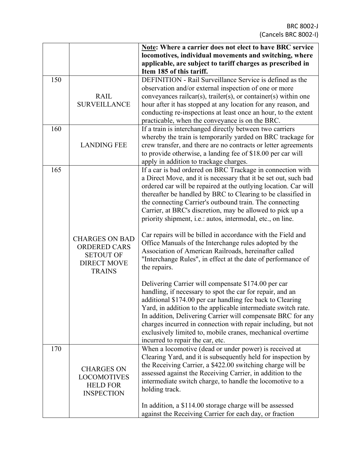|     |                       | Note: Where a carrier does not elect to have BRC service           |  |  |
|-----|-----------------------|--------------------------------------------------------------------|--|--|
|     |                       | locomotives, individual movements and switching, where             |  |  |
|     |                       | applicable, are subject to tariff charges as prescribed in         |  |  |
|     |                       | Item 185 of this tariff.                                           |  |  |
| 150 |                       | DEFINITION - Rail Surveillance Service is defined as the           |  |  |
|     |                       | observation and/or external inspection of one or more              |  |  |
|     | <b>RAIL</b>           | conveyances railcar(s), trailer(s), or container(s) within one     |  |  |
|     | <b>SURVEILLANCE</b>   | hour after it has stopped at any location for any reason, and      |  |  |
|     |                       | conducting re-inspections at least once an hour, to the extent     |  |  |
|     |                       | practicable, when the conveyance is on the BRC.                    |  |  |
| 160 |                       | If a train is interchanged directly between two carriers           |  |  |
|     |                       | whereby the train is temporarily yarded on BRC trackage for        |  |  |
|     | <b>LANDING FEE</b>    | crew transfer, and there are no contracts or letter agreements     |  |  |
|     |                       | to provide otherwise, a landing fee of \$18.00 per car will        |  |  |
|     |                       | apply in addition to trackage charges.                             |  |  |
| 165 |                       | If a car is bad ordered on BRC Trackage in connection with         |  |  |
|     |                       | a Direct Move, and it is necessary that it be set out, such bad    |  |  |
|     |                       | ordered car will be repaired at the outlying location. Car will    |  |  |
|     |                       | thereafter be handled by BRC to Clearing to be classified in       |  |  |
|     |                       | the connecting Carrier's outbound train. The connecting            |  |  |
|     |                       | Carrier, at BRC's discretion, may be allowed to pick up a          |  |  |
|     |                       | priority shipment, <i>i.e.</i> : autos, intermodal, etc., on line. |  |  |
|     |                       |                                                                    |  |  |
|     |                       | Car repairs will be billed in accordance with the Field and        |  |  |
|     | <b>CHARGES ON BAD</b> | Office Manuals of the Interchange rules adopted by the             |  |  |
|     | <b>ORDERED CARS</b>   | Association of American Railroads, hereinafter called              |  |  |
|     | <b>SETOUT OF</b>      | "Interchange Rules", in effect at the date of performance of       |  |  |
|     | <b>DIRECT MOVE</b>    | the repairs.                                                       |  |  |
|     | <b>TRAINS</b>         |                                                                    |  |  |
|     |                       | Delivering Carrier will compensate \$174.00 per car                |  |  |
|     |                       | handling, if necessary to spot the car for repair, and an          |  |  |
|     |                       | additional \$174.00 per car handling fee back to Clearing          |  |  |
|     |                       | Yard, in addition to the applicable intermediate switch rate.      |  |  |
|     |                       | In addition, Delivering Carrier will compensate BRC for any        |  |  |
|     |                       | charges incurred in connection with repair including, but not      |  |  |
|     |                       | exclusively limited to, mobile cranes, mechanical overtime         |  |  |
|     |                       | incurred to repair the car, etc.                                   |  |  |
| 170 |                       | When a locomotive (dead or under power) is received at             |  |  |
|     |                       | Clearing Yard, and it is subsequently held for inspection by       |  |  |
|     |                       | the Receiving Carrier, a \$422.00 switching charge will be         |  |  |
|     | <b>CHARGES ON</b>     | assessed against the Receiving Carrier, in addition to the         |  |  |
|     | <b>LOCOMOTIVES</b>    | intermediate switch charge, to handle the locomotive to a          |  |  |
|     | <b>HELD FOR</b>       | holding track.                                                     |  |  |
|     | <b>INSPECTION</b>     |                                                                    |  |  |
|     |                       | In addition, a \$114.00 storage charge will be assessed            |  |  |
|     |                       | against the Receiving Carrier for each day, or fraction            |  |  |
|     |                       |                                                                    |  |  |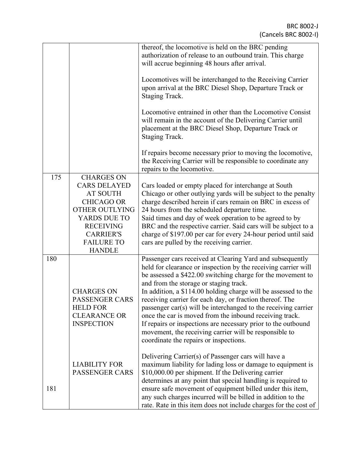|     |                                                                                                                                                                                                         | thereof, the locomotive is held on the BRC pending<br>authorization of release to an outbound train. This charge<br>will accrue beginning 48 hours after arrival.                                                                                                                                                                                                                                                                                                                                                                                                                                                                                                    |
|-----|---------------------------------------------------------------------------------------------------------------------------------------------------------------------------------------------------------|----------------------------------------------------------------------------------------------------------------------------------------------------------------------------------------------------------------------------------------------------------------------------------------------------------------------------------------------------------------------------------------------------------------------------------------------------------------------------------------------------------------------------------------------------------------------------------------------------------------------------------------------------------------------|
|     |                                                                                                                                                                                                         | Locomotives will be interchanged to the Receiving Carrier<br>upon arrival at the BRC Diesel Shop, Departure Track or<br>Staging Track.                                                                                                                                                                                                                                                                                                                                                                                                                                                                                                                               |
|     |                                                                                                                                                                                                         | Locomotive entrained in other than the Locomotive Consist<br>will remain in the account of the Delivering Carrier until<br>placement at the BRC Diesel Shop, Departure Track or<br>Staging Track.                                                                                                                                                                                                                                                                                                                                                                                                                                                                    |
|     |                                                                                                                                                                                                         | If repairs become necessary prior to moving the locomotive,<br>the Receiving Carrier will be responsible to coordinate any<br>repairs to the locomotive.                                                                                                                                                                                                                                                                                                                                                                                                                                                                                                             |
| 175 | <b>CHARGES ON</b><br><b>CARS DELAYED</b><br><b>AT SOUTH</b><br><b>CHICAGO OR</b><br><b>OTHER OUTLYING</b><br>YARDS DUE TO<br><b>RECEIVING</b><br><b>CARRIER'S</b><br><b>FAILURE TO</b><br><b>HANDLE</b> | Cars loaded or empty placed for interchange at South<br>Chicago or other outlying yards will be subject to the penalty<br>charge described herein if cars remain on BRC in excess of<br>24 hours from the scheduled departure time.<br>Said times and day of week operation to be agreed to by<br>BRC and the respective carrier. Said cars will be subject to a<br>charge of \$197.00 per car for every 24-hour period until said<br>cars are pulled by the receiving carrier.                                                                                                                                                                                      |
| 180 | <b>CHARGES ON</b><br><b>PASSENGER CARS</b><br><b>HELD FOR</b><br><b>CLEARANCE OR</b><br><b>INSPECTION</b>                                                                                               | Passenger cars received at Clearing Yard and subsequently<br>held for clearance or inspection by the receiving carrier will<br>be assessed a \$422.00 switching charge for the movement to<br>and from the storage or staging track.<br>In addition, a \$114.00 holding charge will be assessed to the<br>receiving carrier for each day, or fraction thereof. The<br>passenger car(s) will be interchanged to the receiving carrier<br>once the car is moved from the inbound receiving track.<br>If repairs or inspections are necessary prior to the outbound<br>movement, the receiving carrier will be responsible to<br>coordinate the repairs or inspections. |
| 181 | <b>LIABILITY FOR</b><br><b>PASSENGER CARS</b>                                                                                                                                                           | Delivering Carrier(s) of Passenger cars will have a<br>maximum liability for lading loss or damage to equipment is<br>\$10,000.00 per shipment. If the Delivering carrier<br>determines at any point that special handling is required to<br>ensure safe movement of equipment billed under this item,<br>any such charges incurred will be billed in addition to the<br>rate. Rate in this item does not include charges for the cost of                                                                                                                                                                                                                            |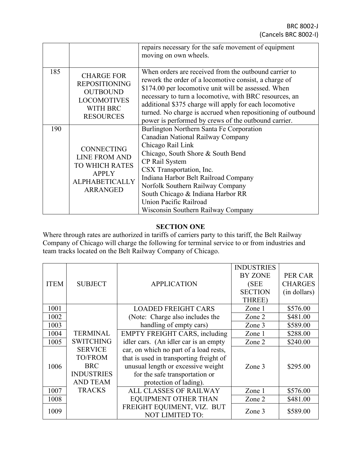|     |                                                                                                                                | repairs necessary for the safe movement of equipment<br>moving on own wheels.                                                                                                                                                                                                                                                                                                                                    |  |
|-----|--------------------------------------------------------------------------------------------------------------------------------|------------------------------------------------------------------------------------------------------------------------------------------------------------------------------------------------------------------------------------------------------------------------------------------------------------------------------------------------------------------------------------------------------------------|--|
| 185 | <b>CHARGE FOR</b><br><b>REPOSITIONING</b><br><b>OUTBOUND</b><br><b>LOCOMOTIVES</b><br><b>WITH BRC</b><br><b>RESOURCES</b>      | When orders are received from the outbound carrier to<br>rework the order of a locomotive consist, a charge of<br>\$174.00 per locomotive unit will be assessed. When<br>necessary to turn a locomotive, with BRC resources, an<br>additional \$375 charge will apply for each locomotive<br>turned. No charge is accrued when repositioning of outbound<br>power is performed by crews of the outbound carrier. |  |
| 190 | <b>CONNECTING</b><br><b>LINE FROM AND</b><br><b>TO WHICH RATES</b><br><b>APPLY</b><br><b>ALPHABETICALLY</b><br><b>ARRANGED</b> | Burlington Northern Santa Fe Corporation<br>Canadian National Railway Company<br>Chicago Rail Link<br>Chicago, South Shore & South Bend<br>CP Rail System<br>CSX Transportation, Inc.<br>Indiana Harbor Belt Railroad Company<br>Norfolk Southern Railway Company<br>South Chicago & Indiana Harbor RR<br>Union Pacific Railroad<br>Wisconsin Southern Railway Company                                           |  |

### **SECTION ONE**

Where through rates are authorized in tariffs of carriers party to this tariff, the Belt Railway Company of Chicago will charge the following for terminal service to or from industries and team tracks located on the Belt Railway Company of Chicago.

|             |                   |                                         | <b>INDUSTRIES</b> |                |
|-------------|-------------------|-----------------------------------------|-------------------|----------------|
|             |                   |                                         | <b>BY ZONE</b>    | PER CAR        |
| <b>ITEM</b> | <b>SUBJECT</b>    | <b>APPLICATION</b>                      | (SEE)             | <b>CHARGES</b> |
|             |                   |                                         | <b>SECTION</b>    | (in dollars)   |
|             |                   |                                         | THREE)            |                |
| 1001        |                   | <b>LOADED FREIGHT CARS</b>              | Zone 1            | \$576.00       |
| 1002        |                   | (Note: Charge also includes the         | Zone 2            | \$481.00       |
| 1003        |                   | handling of empty cars)                 | Zone 3            | \$589.00       |
| 1004        | <b>TERMINAL</b>   | <b>EMPTY FREIGHT CARS, including</b>    | Zone 1            | \$288.00       |
| 1005        | <b>SWITCHING</b>  | idler cars. (An idler car is an empty   | Zone 2            | \$240.00       |
|             | <b>SERVICE</b>    | car, on which no part of a load rests,  |                   |                |
|             | <b>TO/FROM</b>    | that is used in transporting freight of |                   |                |
| 1006        | <b>BRC</b>        | unusual length or excessive weight      | Zone 3            | \$295.00       |
|             | <b>INDUSTRIES</b> | for the safe transportation or          |                   |                |
|             | <b>AND TEAM</b>   | protection of lading).                  |                   |                |
| 1007        | <b>TRACKS</b>     | <b>ALL CLASSES OF RAILWAY</b>           | Zone 1            | \$576.00       |
| 1008        |                   | <b>EQUIPMENT OTHER THAN</b>             | Zone 2            | \$481.00       |
|             |                   | FREIGHT EQUIMENT, VIZ. BUT              |                   |                |
| 1009        |                   | <b>NOT LIMITED TO:</b>                  | Zone 3            | \$589.00       |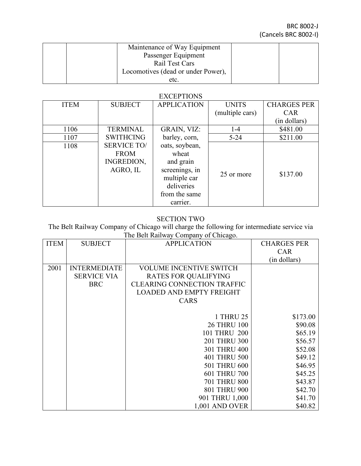| Maintenance of Way Equipment       |  |
|------------------------------------|--|
| Passenger Equipment                |  |
| Rail Test Cars                     |  |
| Locomotives (dead or under Power), |  |
| etc.                               |  |

### **EXCEPTIONS**

| <b>ITEM</b> | <b>SUBJECT</b>     | <b>APPLICATION</b> | <b>UNITS</b>    | <b>CHARGES PER</b> |
|-------------|--------------------|--------------------|-----------------|--------------------|
|             |                    |                    | (multiple cars) | <b>CAR</b>         |
|             |                    |                    |                 | (in dollars)       |
| 1106        | <b>TERMINAL</b>    | GRAIN, VIZ:        | $1 - 4$         | \$481.00           |
| 1107        | <b>SWITHCING</b>   | barley, corn,      | $5 - 24$        | \$211.00           |
| 1108        | <b>SERVICE TO/</b> | oats, soybean,     |                 |                    |
|             | <b>FROM</b>        | wheat              |                 |                    |
|             | INGREDION,         | and grain          |                 |                    |
|             | AGRO, IL           | screenings, in     | 25 or more      | \$137.00           |
|             |                    | multiple car       |                 |                    |
|             |                    | deliveries         |                 |                    |
|             |                    | from the same      |                 |                    |
|             |                    | carrier.           |                 |                    |

## SECTION TWO

The Belt Railway Company of Chicago will charge the following for intermediate service via The Belt Railway Company of Chicago.

| <b>ITEM</b> | <b>SUBJECT</b>      | <b>APPLICATION</b>                 | <b>CHARGES PER</b> |
|-------------|---------------------|------------------------------------|--------------------|
|             |                     |                                    | <b>CAR</b>         |
|             |                     |                                    | (in dollars)       |
| 2001        | <b>INTERMEDIATE</b> | <b>VOLUME INCENTIVE SWITCH</b>     |                    |
|             | <b>SERVICE VIA</b>  | <b>RATES FOR QUALIFYING</b>        |                    |
|             | <b>BRC</b>          | <b>CLEARING CONNECTION TRAFFIC</b> |                    |
|             |                     | <b>LOADED AND EMPTY FREIGHT</b>    |                    |
|             |                     | <b>CARS</b>                        |                    |
|             |                     |                                    |                    |
|             |                     | 1 THRU 25                          | \$173.00           |
|             |                     | <b>26 THRU 100</b>                 | \$90.08            |
|             |                     | 101 THRU 200                       | \$65.19            |
|             |                     | 201 THRU 300                       | \$56.57            |
|             |                     | 301 THRU 400                       | \$52.08            |
|             |                     | 401 THRU 500                       | \$49.12            |
|             |                     | 501 THRU 600                       | \$46.95            |
|             |                     | 601 THRU 700                       | \$45.25            |
|             |                     | <b>701 THRU 800</b>                | \$43.87            |
|             |                     | 801 THRU 900                       | \$42.70            |
|             |                     | 901 THRU 1,000                     | \$41.70            |
|             |                     | 1,001 AND OVER                     | \$40.82            |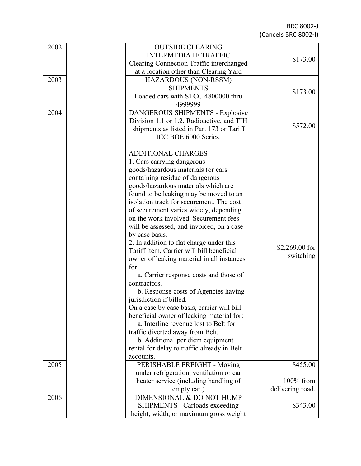BRC 8002 - J (Cancels BRC 8002 - I )

| 2002 | <b>OUTSIDE CLEARING</b>                     |                  |
|------|---------------------------------------------|------------------|
|      | <b>INTERMEDIATE TRAFFIC</b>                 | \$173.00         |
|      | Clearing Connection Traffic interchanged    |                  |
|      | at a location other than Clearing Yard      |                  |
| 2003 | HAZARDOUS (NON-RSSM)                        |                  |
|      | <b>SHIPMENTS</b>                            | \$173.00         |
|      | Loaded cars with STCC 4800000 thru          |                  |
|      | 4999999                                     |                  |
| 2004 | DANGEROUS SHIPMENTS - Explosive             |                  |
|      | Division 1.1 or 1.2, Radioactive, and TIH   | \$572.00         |
|      | shipments as listed in Part 173 or Tariff   |                  |
|      | ICC BOE 6000 Series.                        |                  |
|      |                                             |                  |
|      | <b>ADDITIONAL CHARGES</b>                   |                  |
|      | 1. Cars carrying dangerous                  |                  |
|      | goods/hazardous materials (or cars          |                  |
|      | containing residue of dangerous             |                  |
|      | goods/hazardous materials which are         |                  |
|      | found to be leaking may be moved to an      |                  |
|      | isolation track for securement. The cost    |                  |
|      | of securement varies widely, depending      |                  |
|      | on the work involved. Securement fees       |                  |
|      | will be assessed, and invoiced, on a case   |                  |
|      | by case basis.                              |                  |
|      | 2. In addition to flat charge under this    | $$2,269.00$ for  |
|      | Tariff item, Carrier will bill beneficial   | switching        |
|      | owner of leaking material in all instances  |                  |
|      | for:                                        |                  |
|      | a. Carrier response costs and those of      |                  |
|      | contractors.                                |                  |
|      | b. Response costs of Agencies having        |                  |
|      | jurisdiction if billed.                     |                  |
|      | On a case by case basis, carrier will bill  |                  |
|      | beneficial owner of leaking material for:   |                  |
|      | a. Interline revenue lost to Belt for       |                  |
|      | traffic diverted away from Belt.            |                  |
|      | b. Additional per diem equipment            |                  |
|      | rental for delay to traffic already in Belt |                  |
|      | accounts.                                   |                  |
| 2005 | PERISHABLE FREIGHT - Moving                 | \$455.00         |
|      | under refrigeration, ventilation or car     |                  |
|      | heater service (including handling of       | $100\%$ from     |
|      | empty car.)                                 | delivering road. |
| 2006 | DIMENSIONAL & DO NOT HUMP                   |                  |
|      | <b>SHIPMENTS - Carloads exceeding</b>       | \$343.00         |
|      | height, width, or maximum gross weight      |                  |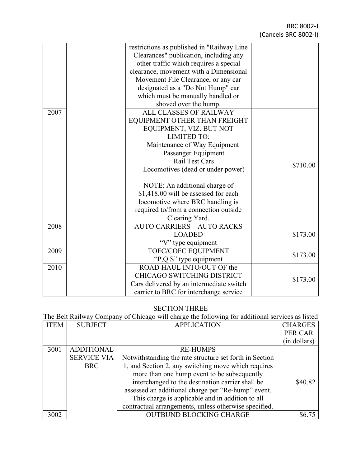|      | restrictions as published in "Railway Line |          |
|------|--------------------------------------------|----------|
|      | Clearances" publication, including any     |          |
|      | other traffic which requires a special     |          |
|      | clearance, movement with a Dimensional     |          |
|      | Movement File Clearance, or any car        |          |
|      | designated as a "Do Not Hump" car          |          |
|      | which must be manually handled or          |          |
|      | shoved over the hump.                      |          |
| 2007 | ALL CLASSES OF RAILWAY                     |          |
|      | EQUIPMENT OTHER THAN FREIGHT               |          |
|      | EQUIPMENT, VIZ. BUT NOT                    |          |
|      | <b>LIMITED TO:</b>                         |          |
|      | Maintenance of Way Equipment               |          |
|      | Passenger Equipment                        |          |
|      | Rail Test Cars                             | \$710.00 |
|      | Locomotives (dead or under power)          |          |
|      |                                            |          |
|      | NOTE: An additional charge of              |          |
|      | \$1,418.00 will be assessed for each       |          |
|      | locomotive where BRC handling is           |          |
|      | required to/from a connection outside      |          |
|      | Clearing Yard.                             |          |
| 2008 | <b>AUTO CARRIERS - AUTO RACKS</b>          |          |
|      | <b>LOADED</b>                              | \$173.00 |
|      | "V" type equipment                         |          |
| 2009 | TOFC/COFC EQUIPMENT                        | \$173.00 |
|      | "P,Q.S" type equipment                     |          |
| 2010 | ROAD HAUL INTO/OUT OF the                  |          |
|      | CHICAGO SWITCHING DISTRICT                 | \$173.00 |
|      | Cars delivered by an intermediate switch   |          |
|      | carrier to BRC for interchange service     |          |

### SECTION THREE

# The Belt Railway Company of Chicago will charge the following for additional services as listed

| <b>ITEM</b> | <b>SUBJECT</b>     | <b>APPLICATION</b>                                      | <b>CHARGES</b> |
|-------------|--------------------|---------------------------------------------------------|----------------|
|             |                    |                                                         | PER CAR        |
|             |                    |                                                         | (in dollars)   |
| 3001        | <b>ADDITIONAL</b>  | <b>RE-HUMPS</b>                                         |                |
|             | <b>SERVICE VIA</b> | Notwithstanding the rate structure set forth in Section |                |
|             | <b>BRC</b>         | 1, and Section 2, any switching move which requires     |                |
|             |                    | more than one hump event to be subsequently             |                |
|             |                    | interchanged to the destination carrier shall be        | \$40.82        |
|             |                    | assessed an additional charge per "Re-hump" event.      |                |
|             |                    | This charge is applicable and in addition to all        |                |
|             |                    | contractual arrangements, unless otherwise specified.   |                |
| 3002        |                    | <b>OUTBUND BLOCKING CHARGE</b>                          |                |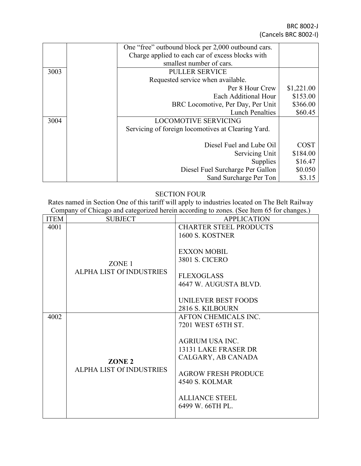BRC 8002-J (Cancels BRC 8002-I)

|      | One "free" outbound block per 2,000 outbound cars. |             |
|------|----------------------------------------------------|-------------|
|      | Charge applied to each car of excess blocks with   |             |
|      | smallest number of cars.                           |             |
| 3003 | <b>PULLER SERVICE</b>                              |             |
|      | Requested service when available.                  |             |
|      | Per 8 Hour Crew                                    | \$1,221.00  |
|      | Each Additional Hour                               | \$153.00    |
|      | BRC Locomotive, Per Day, Per Unit                  | \$366.00    |
|      | <b>Lunch Penalties</b>                             | \$60.45     |
| 3004 | <b>LOCOMOTIVE SERVICING</b>                        |             |
|      | Servicing of foreign locomotives at Clearing Yard. |             |
|      |                                                    |             |
|      | Diesel Fuel and Lube Oil                           | <b>COST</b> |
|      | Servicing Unit                                     | \$184.00    |
|      | <b>Supplies</b>                                    | \$16.47     |
|      | Diesel Fuel Surcharge Per Gallon                   | \$0.050     |
|      | Sand Surcharge Per Ton                             | \$3.15      |

### SECTION FOUR

Rates named in Section One of this tariff will apply to industries located on The Belt Railway Company of Chicago and categorized herein according to zones. (See Item 65 for changes.)

| <b>ITEM</b> | <b>SUBJECT</b>                  | <b>APPLICATION</b>            |
|-------------|---------------------------------|-------------------------------|
|             |                                 |                               |
| 4001        |                                 | <b>CHARTER STEEL PRODUCTS</b> |
|             |                                 | 1600 S. KOSTNER               |
|             |                                 |                               |
|             |                                 | <b>EXXON MOBIL</b>            |
|             |                                 |                               |
|             | ZONE 1                          | <b>3801 S. CICERO</b>         |
|             | <b>ALPHA LIST Of INDUSTRIES</b> |                               |
|             |                                 | <b>FLEXOGLASS</b>             |
|             |                                 | 4647 W. AUGUSTA BLVD.         |
|             |                                 |                               |
|             |                                 |                               |
|             |                                 | UNILEVER BEST FOODS           |
|             |                                 | 2816 S. KILBOURN              |
| 4002        |                                 | AFTON CHEMICALS INC.          |
|             |                                 | 7201 WEST 65TH ST.            |
|             |                                 |                               |
|             |                                 |                               |
|             |                                 | <b>AGRIUM USA INC.</b>        |
|             |                                 | 13131 LAKE FRASER DR          |
|             |                                 | CALGARY, AB CANADA            |
|             | ZONE <sub>2</sub>               |                               |
|             | <b>ALPHA LIST Of INDUSTRIES</b> | <b>AGROW FRESH PRODUCE</b>    |
|             |                                 |                               |
|             |                                 | 4540 S. KOLMAR                |
|             |                                 |                               |
|             |                                 | <b>ALLIANCE STEEL</b>         |
|             |                                 | 6499 W. 66TH PL.              |
|             |                                 |                               |
|             |                                 |                               |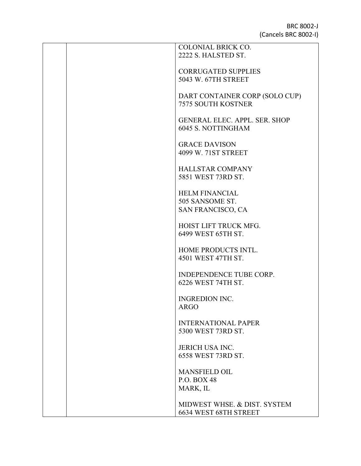| <b>COLONIAL BRICK CO.</b><br>2222 S. HALSTED ST.                  |
|-------------------------------------------------------------------|
| <b>CORRUGATED SUPPLIES</b><br>5043 W. 67TH STREET                 |
| DART CONTAINER CORP (SOLO CUP)<br><b>7575 SOUTH KOSTNER</b>       |
| <b>GENERAL ELEC. APPL. SER. SHOP</b><br><b>6045 S. NOTTINGHAM</b> |
| <b>GRACE DAVISON</b>                                              |
| 4099 W. 71ST STREET<br><b>HALLSTAR COMPANY</b>                    |
| 5851 WEST 73RD ST.                                                |
| <b>HELM FINANCIAL</b><br>505 SANSOME ST.<br>SAN FRANCISCO, CA     |
| HOIST LIFT TRUCK MFG.<br>6499 WEST 65TH ST.                       |
| HOME PRODUCTS INTL.<br>4501 WEST 47TH ST.                         |
| <b>INDEPENDENCE TUBE CORP.</b><br>6226 WEST 74TH ST.              |
| <b>INGREDION INC.</b><br><b>ARGO</b>                              |
| <b>INTERNATIONAL PAPER</b><br>5300 WEST 73RD ST.                  |
| <b>JERICH USA INC.</b><br>6558 WEST 73RD ST.                      |
| <b>MANSFIELD OIL</b><br><b>P.O. BOX 48</b><br>MARK, IL            |
| MIDWEST WHSE, & DIST, SYSTEM<br>6634 WEST 68TH STREET             |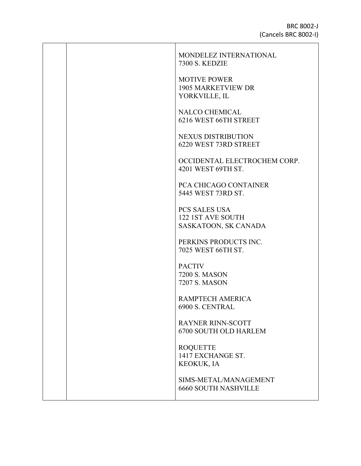|  | MONDELEZ INTERNATIONAL<br><b>7300 S. KEDZIE</b>                   |
|--|-------------------------------------------------------------------|
|  | <b>MOTIVE POWER</b><br><b>1905 MARKETVIEW DR</b><br>YORKVILLE, IL |
|  | NALCO CHEMICAL<br>6216 WEST 66TH STREET                           |
|  | <b>NEXUS DISTRIBUTION</b><br>6220 WEST 73RD STREET                |
|  | OCCIDENTAL ELECTROCHEM CORP.<br>4201 WEST 69TH ST.                |
|  | PCA CHICAGO CONTAINER<br>5445 WEST 73RD ST.                       |
|  | PCS SALES USA<br>122 1ST AVE SOUTH<br>SASKATOON, SK CANADA        |
|  | PERKINS PRODUCTS INC.<br>7025 WEST 66TH ST.                       |
|  | <b>PACTIV</b><br><b>7200 S. MASON</b><br>7207 S. MASON            |
|  | RAMPTECH AMERICA<br>6900 S. CENTRAL                               |
|  | <b>RAYNER RINN-SCOTT</b><br><b>6700 SOUTH OLD HARLEM</b>          |
|  | <b>ROQUETTE</b><br>1417 EXCHANGE ST.<br>KEOKUK, IA                |
|  | SIMS-METAL/MANAGEMENT<br><b>6660 SOUTH NASHVILLE</b>              |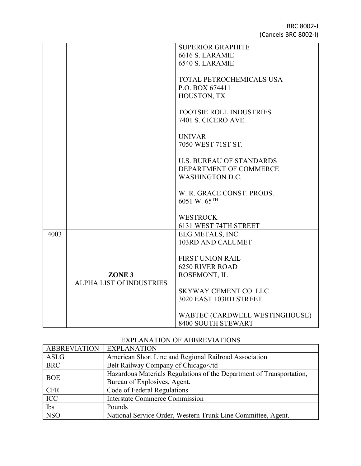|      |                                 | <b>SUPERIOR GRAPHITE</b>        |
|------|---------------------------------|---------------------------------|
|      |                                 | 6616 S. LARAMIE                 |
|      |                                 | 6540 S. LARAMIE                 |
|      |                                 |                                 |
|      |                                 |                                 |
|      |                                 | TOTAL PETROCHEMICALS USA        |
|      |                                 | P.O. BOX 674411                 |
|      |                                 | HOUSTON, TX                     |
|      |                                 |                                 |
|      |                                 | TOOTSIE ROLL INDUSTRIES         |
|      |                                 | <b>7401 S. CICERO AVE.</b>      |
|      |                                 |                                 |
|      |                                 |                                 |
|      |                                 | <b>UNIVAR</b>                   |
|      |                                 | 7050 WEST 71ST ST.              |
|      |                                 |                                 |
|      |                                 | <b>U.S. BUREAU OF STANDARDS</b> |
|      |                                 | DEPARTMENT OF COMMERCE          |
|      |                                 | <b>WASHINGTON D.C.</b>          |
|      |                                 |                                 |
|      |                                 |                                 |
|      |                                 | W. R. GRACE CONST. PRODS.       |
|      |                                 | 6051 W. 65TH                    |
|      |                                 |                                 |
|      |                                 | <b>WESTROCK</b>                 |
|      |                                 | 6131 WEST 74TH STREET           |
| 4003 |                                 |                                 |
|      |                                 | ELG METALS, INC.                |
|      |                                 | 103RD AND CALUMET               |
|      |                                 |                                 |
|      |                                 | <b>FIRST UNION RAIL</b>         |
|      |                                 | <b>6250 RIVER ROAD</b>          |
|      | ZONE <sub>3</sub>               | ROSEMONT, IL                    |
|      | <b>ALPHA LIST Of INDUSTRIES</b> |                                 |
|      |                                 | <b>SKYWAY CEMENT CO. LLC</b>    |
|      |                                 |                                 |
|      |                                 | 3020 EAST 103RD STREET          |
|      |                                 |                                 |
|      |                                 | WABTEC (CARDWELL WESTINGHOUSE)  |
|      |                                 | 8400 SOUTH STEWART              |

### EXPLANATION OF ABBREVIATIONS

| <b>ABBREVIATION   EXPLANATION</b> |                                                                      |  |
|-----------------------------------|----------------------------------------------------------------------|--|
| ASLG                              | American Short Line and Regional Railroad Association                |  |
| <b>BRC</b>                        | Belt Railway Company of Chicago                                      |  |
| <b>BOE</b>                        | Hazardous Materials Regulations of the Department of Transportation, |  |
|                                   | Bureau of Explosives, Agent.                                         |  |
| <b>CFR</b>                        | Code of Federal Regulations                                          |  |
| ICC                               | <b>Interstate Commerce Commission</b>                                |  |
| lbs                               | Pounds                                                               |  |
| <b>NSO</b>                        | National Service Order, Western Trunk Line Committee, Agent.         |  |